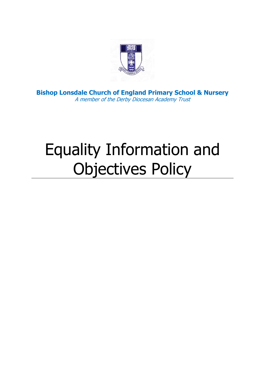

**Bishop Lonsdale Church of England Primary School & Nursery** A member of the Derby Diocesan Academy Trust

# Equality Information and Objectives Policy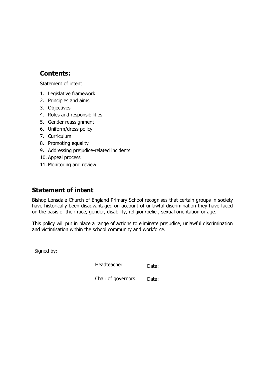#### **Contents:**

#### [Statement of intent](#page-1-0)

- 1. Legislative framework
- 2. [Principles and aims](#page-3-0)
- 3. [Objectives](#page-4-0)
- 4. [Roles and responsibilities](#page-5-0)
- 5. [Gender reassignment](#page-6-0)
- 6. [Uniform/dress policy](#page-7-0)
- 7. [Curriculum](#page-7-1)
- 8. [Promoting equality](#page-7-2)
- 9. [Addressing prejudice-related incidents](#page-8-0)
- 10. [Appeal process](#page-8-1)
- 11. [Monitoring and review](#page-9-0)

#### <span id="page-1-0"></span>**Statement of intent**

Bishop Lonsdale Church of England Primary School recognises that certain groups in society have historically been disadvantaged on account of unlawful discrimination they have faced on the basis of their race, gender, disability, religion/belief, sexual orientation or age.

This policy will put in place a range of actions to eliminate prejudice, unlawful discrimination and victimisation within the school community and workforce.

Signed by:

Headteacher Date: Date: Date: Date: Date: Date: Date: Date: Date: Date: Date: Date: Date: Date: Date: Date: Date: Date: Date: Date: Date: Date: Date: Date: Date: Date: Date: Date: Date: Date: Date: Date: Date: Date: Date:

and Chair of governors and Date: All Chair of governors and Date: All Chair Of Bate: All Chair Of Bate: All Cha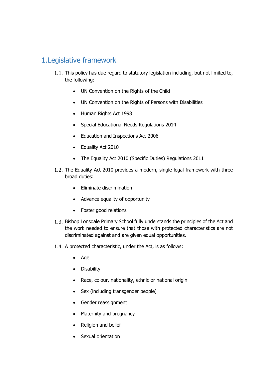# 1.Legislative framework

- 1.1. This policy has due regard to statutory legislation including, but not limited to, the following:
	- UN Convention on the Rights of the Child
	- UN Convention on the Rights of Persons with Disabilities
	- Human Rights Act 1998
	- Special Educational Needs Regulations 2014
	- Education and Inspections Act 2006
	- Equality Act 2010
	- The Equality Act 2010 (Specific Duties) Regulations 2011
- 1.2. The Equality Act 2010 provides a modern, single legal framework with three broad duties:
	- Eliminate discrimination
	- Advance equality of opportunity
	- Foster good relations
- 1.3. Bishop Lonsdale Primary School fully understands the principles of the Act and the work needed to ensure that those with protected characteristics are not discriminated against and are given equal opportunities.
- 1.4. A protected characteristic, under the Act, is as follows:
	- Age
	- Disability
	- Race, colour, nationality, ethnic or national origin
	- Sex (including transgender people)
	- Gender reassignment
	- Maternity and pregnancy
	- Religion and belief
	- Sexual orientation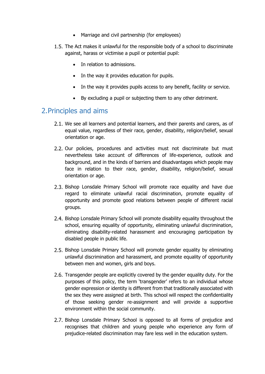- Marriage and civil partnership (for employees)
- 1.5. The Act makes it unlawful for the responsible body of a school to discriminate against, harass or victimise a pupil or potential pupil:
	- In relation to admissions.
	- In the way it provides education for pupils.
	- In the way it provides pupils access to any benefit, facility or service.
	- By excluding a pupil or subjecting them to any other detriment.

#### <span id="page-3-0"></span>2.Principles and aims

- 2.1. We see all learners and potential learners, and their parents and carers, as of equal value, regardless of their race, gender, disability, religion/belief, sexual orientation or age.
- 2.2. Our policies, procedures and activities must not discriminate but must nevertheless take account of differences of life-experience, outlook and background, and in the kinds of barriers and disadvantages which people may face in relation to their race, gender, disability, religion/belief, sexual orientation or age.
- 2.3. Bishop Lonsdale Primary School will promote race equality and have due regard to eliminate unlawful racial discrimination, promote equality of opportunity and promote good relations between people of different racial groups.
- Bishop Lonsdale Primary School will promote disability equality throughout the school, ensuring equality of opportunity, eliminating unlawful discrimination, eliminating disability-related harassment and encouraging participation by disabled people in public life.
- 2.5. Bishop Lonsdale Primary School will promote gender equality by eliminating unlawful discrimination and harassment, and promote equality of opportunity between men and women, girls and boys.
- 2.6. Transgender people are explicitly covered by the gender equality duty. For the purposes of this policy, the term 'transgender' refers to an individual whose gender expression or identity is different from that traditionally associated with the sex they were assigned at birth. This school will respect the confidentiality of those seeking gender re-assignment and will provide a supportive environment within the social community.
- 2.7. Bishop Lonsdale Primary School is opposed to all forms of prejudice and recognises that children and young people who experience any form of prejudice-related discrimination may fare less well in the education system.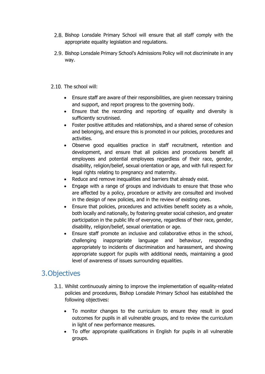- 2.8. Bishop Lonsdale Primary School will ensure that all staff comply with the appropriate equality legislation and regulations.
- 2.9. Bishop Lonsdale Primary School's Admissions Policy will not discriminate in any way.
- 2.10. The school will:
	- Ensure staff are aware of their responsibilities, are given necessary training and support, and report progress to the governing body.
	- Ensure that the recording and reporting of equality and diversity is sufficiently scrutinised.
	- Foster positive attitudes and relationships, and a shared sense of cohesion and belonging, and ensure this is promoted in our policies, procedures and activities.
	- Observe good equalities practice in staff recruitment, retention and development, and ensure that all policies and procedures benefit all employees and potential employees regardless of their race, gender, disability, religion/belief, sexual orientation or age, and with full respect for legal rights relating to pregnancy and maternity.
	- Reduce and remove inequalities and barriers that already exist.
	- Engage with a range of groups and individuals to ensure that those who are affected by a policy, procedure or activity are consulted and involved in the design of new policies, and in the review of existing ones.
	- Ensure that policies, procedures and activities benefit society as a whole, both locally and nationally, by fostering greater social cohesion, and greater participation in the public life of everyone, regardless of their race, gender, disability, religion/belief, sexual orientation or age.
	- Ensure staff promote an inclusive and collaborative ethos in the school, challenging inappropriate language and behaviour, responding appropriately to incidents of discrimination and harassment, and showing appropriate support for pupils with additional needs, maintaining a good level of awareness of issues surrounding equalities.

# <span id="page-4-0"></span>3.Objectives

- Whilst continuously aiming to improve the implementation of equality-related policies and procedures, Bishop Lonsdale Primary School has established the following objectives:
	- To monitor changes to the curriculum to ensure they result in good outcomes for pupils in all vulnerable groups, and to review the curriculum in light of new performance measures.
	- To offer appropriate qualifications in English for pupils in all vulnerable groups.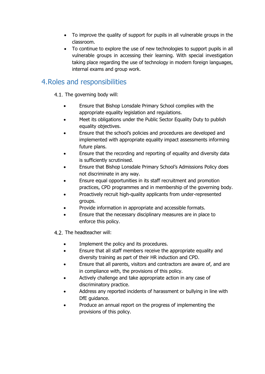- To improve the quality of support for pupils in all vulnerable groups in the classroom.
- To continue to explore the use of new technologies to support pupils in all vulnerable groups in accessing their learning. With special investigation taking place regarding the use of technology in modern foreign languages, internal exams and group work.

# <span id="page-5-0"></span>4.Roles and responsibilities

4.1. The governing body will:

- Ensure that Bishop Lonsdale Primary School complies with the appropriate equality legislation and regulations.
- Meet its obligations under the Public Sector Equality Duty to publish equality objectives.
- Ensure that the school's policies and procedures are developed and implemented with appropriate equality impact assessments informing future plans.
- Ensure that the recording and reporting of equality and diversity data is sufficiently scrutinised.
- Ensure that Bishop Lonsdale Primary School's Admissions Policy does not discriminate in any way.
- Ensure equal opportunities in its staff recruitment and promotion practices, CPD programmes and in membership of the governing body.
- Proactively recruit high-quality applicants from under-represented groups.
- Provide information in appropriate and accessible formats.
- Ensure that the necessary disciplinary measures are in place to enforce this policy.
- 4.2. The headteacher will:
	- Implement the policy and its procedures.
	- Ensure that all staff members receive the appropriate equality and diversity training as part of their HR induction and CPD.
	- Ensure that all parents, visitors and contractors are aware of, and are in compliance with, the provisions of this policy.
	- Actively challenge and take appropriate action in any case of discriminatory practice.
	- Address any reported incidents of harassment or bullying in line with DfE guidance.
	- Produce an annual report on the progress of implementing the provisions of this policy.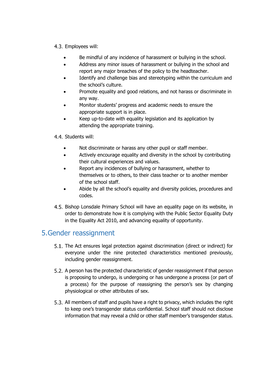- 4.3. Employees will:
	- Be mindful of any incidence of harassment or bullying in the school.
	- Address any minor issues of harassment or bullying in the school and report any major breaches of the policy to the headteacher.
	- Identify and challenge bias and stereotyping within the curriculum and the school's culture.
	- Promote equality and good relations, and not harass or discriminate in any way.
	- Monitor students' progress and academic needs to ensure the appropriate support is in place.
	- Keep up-to-date with equality legislation and its application by attending the appropriate training.
- 4.4. Students will:
	- Not discriminate or harass any other pupil or staff member.
	- Actively encourage equality and diversity in the school by contributing their cultural experiences and values.
	- Report any incidences of bullying or harassment, whether to themselves or to others, to their class teacher or to another member of the school staff.
	- Abide by all the school's equality and diversity policies, procedures and codes.
- Bishop Lonsdale Primary School will have an equality page on its website, in order to demonstrate how it is complying with the Public Sector Equality Duty in the Equality Act 2010, and advancing equality of opportunity.

# <span id="page-6-0"></span>5.Gender reassignment

- The Act ensures legal protection against discrimination (direct or indirect) for everyone under the nine protected characteristics mentioned previously, including gender reassignment.
- 5.2. A person has the protected characteristic of gender reassignment if that person is proposing to undergo, is undergoing or has undergone a process (or part of a process) for the purpose of reassigning the person's sex by changing physiological or other attributes of sex.
- 5.3. All members of staff and pupils have a right to privacy, which includes the right to keep one's transgender status confidential. School staff should not disclose information that may reveal a child or other staff member's transgender status.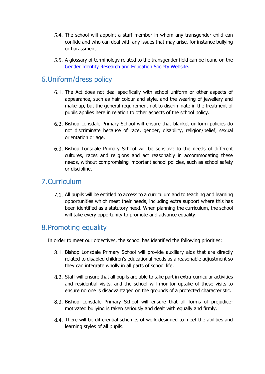- 5.4. The school will appoint a staff member in whom any transgender child can confide and who can deal with any issues that may arise, for instance bullying or harassment.
- 5.5. A glossary of terminology related to the transgender field can be found on the [Gender Identity Research and Education Society Website.](http://www.gires.org.uk/schools.php)

## <span id="page-7-0"></span>6.Uniform/dress policy

- 6.1. The Act does not deal specifically with school uniform or other aspects of appearance, such as hair colour and style, and the wearing of jewellery and make-up, but the general requirement not to discriminate in the treatment of pupils applies here in relation to other aspects of the school policy.
- 6.2. Bishop Lonsdale Primary School will ensure that blanket uniform policies do not discriminate because of race, gender, disability, religion/belief, sexual orientation or age.
- 6.3. Bishop Lonsdale Primary School will be sensitive to the needs of different cultures, races and religions and act reasonably in accommodating these needs, without compromising important school policies, such as school safety or discipline.

#### <span id="page-7-1"></span>7.Curriculum

All pupils will be entitled to access to a curriculum and to teaching and learning opportunities which meet their needs, including extra support where this has been identified as a statutory need. When planning the curriculum, the school will take every opportunity to promote and advance equality.

### <span id="page-7-2"></span>8.Promoting equality

In order to meet our objectives, the school has identified the following priorities:

- Bishop Lonsdale Primary School will provide auxiliary aids that are directly related to disabled children's educational needs as a reasonable adjustment so they can integrate wholly in all parts of school life.
- Staff will ensure that all pupils are able to take part in extra-curricular activities and residential visits, and the school will monitor uptake of these visits to ensure no one is disadvantaged on the grounds of a protected characteristic.
- Bishop Lonsdale Primary School will ensure that all forms of prejudicemotivated bullying is taken seriously and dealt with equally and firmly.
- There will be differential schemes of work designed to meet the abilities and learning styles of all pupils.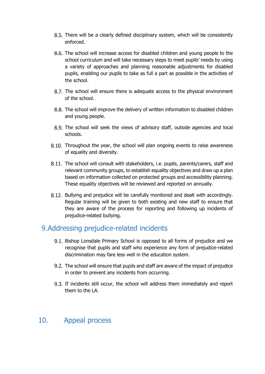- 8.5. There will be a clearly defined disciplinary system, which will be consistently enforced.
- The school will increase access for disabled children and young people to the school curriculum and will take necessary steps to meet pupils' needs by using a variety of approaches and planning reasonable adjustments for disabled pupils, enabling our pupils to take as full a part as possible in the activities of the school.
- 8.7. The school will ensure there is adequate access to the physical environment of the school.
- The school will improve the delivery of written information to disabled children and young people.
- The school will seek the views of advisory staff, outside agencies and local schools.
- 8.10. Throughout the year, the school will plan ongoing events to raise awareness of equality and diversity.
- 8.11. The school will consult with stakeholders, i.e. pupils, parents/carers, staff and relevant community groups, to establish equality objectives and draw up a plan based on information collected on protected groups and accessibility planning. These equality objectives will be reviewed and reported on annually.
- 8.12. Bullying and prejudice will be carefully monitored and dealt with accordingly. Regular training will be given to both existing and new staff to ensure that they are aware of the process for reporting and following up incidents of prejudice-related bullying.

### <span id="page-8-0"></span>9.Addressing prejudice-related incidents

- 9.1. Bishop Lonsdale Primary School is opposed to all forms of prejudice and we recognise that pupils and staff who experience any form of prejudice-related discrimination may fare less well in the education system.
- The school will ensure that pupils and staff are aware of the impact of prejudice in order to prevent any incidents from occurring.
- 9.3. If incidents still occur, the school will address them immediately and report them to the LA.

### <span id="page-8-1"></span>10. Appeal process